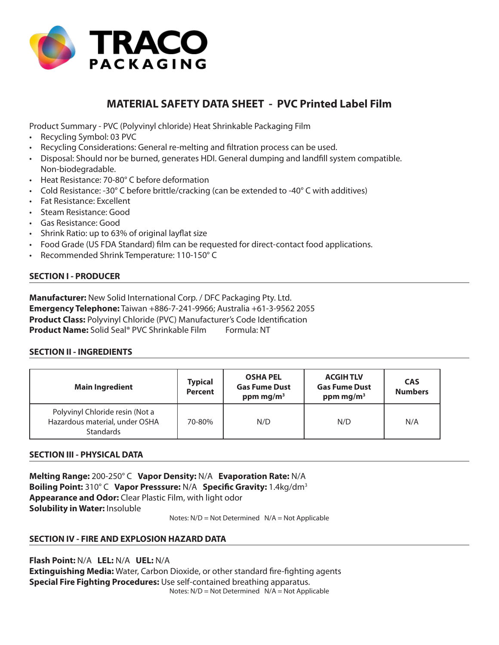

# **MATERIAL SAFETY DATA SHEET - PVC Printed Label Film**

Product Summary - PVC (Polyvinyl chloride) Heat Shrinkable Packaging Film

- Recycling Symbol: 03 PVC
- Recycling Considerations: General re-melting and filtration process can be used.
- Disposal: Should nor be burned, generates HDI. General dumping and landfill system compatible. Non-biodegradable.
- Heat Resistance: 70-80° C before deformation
- Cold Resistance: -30 $^{\circ}$ C before brittle/cracking (can be extended to -40 $^{\circ}$ C with additives)
- Fat Resistance: Excellent
- Steam Resistance: Good
- Gas Resistance: Good
- Shrink Ratio: up to 63% of original layflat size
- Food Grade (US FDA Standard) film can be requested for direct-contact food applications.
- Recommended Shrink Temperature: 110-150° C

## **SECTION I - PRODUCER**

**Manufacturer:** New Solid International Corp. / DFC Packaging Pty. Ltd. **Emergency Telephone:** Taiwan +886-7-241-9966; Australia +61-3-9562 2055 **Product Class:** Polyvinyl Chloride (PVC) Manufacturer's Code Identification **Product Name:** Solid Seal<sup>®</sup> PVC Shrinkable Film Formula: NT

## **SECTION II - INGREDIENTS**

| <b>Main Ingredient</b>                                                                | <b>Typical</b><br><b>Percent</b> | <b>OSHA PEL</b><br><b>Gas Fume Dust</b><br>ppm mg/m <sup>3</sup> | <b>ACGIHTLV</b><br><b>Gas Fume Dust</b><br>ppm mg/m <sup>3</sup> | <b>CAS</b><br><b>Numbers</b> |
|---------------------------------------------------------------------------------------|----------------------------------|------------------------------------------------------------------|------------------------------------------------------------------|------------------------------|
| Polyvinyl Chloride resin (Not a<br>Hazardous material, under OSHA<br><b>Standards</b> | 70-80%                           | N/D                                                              | N/D                                                              | N/A                          |

## **SECTION III - PHYSICAL DATA**

**Melting Range:** 200-250° C **Vapor Density:** N/A **Evaporation Rate:** N/A **Boiling Point:** 310° C **Vapor Presssure:** N/A **Specific Gravity:** 1.4kg/dm3 **Appearance and Odor:** Clear Plastic Film, with light odor **Solubility in Water:** Insoluble

Notes: N/D = Not Determined N/A = Not Applicable

## **SECTION IV - FIRE AND EXPLOSION HAZARD DATA**

**Flash Point:** N/A **LEL:** N/A **UEL:** N/A **Extinguishing Media:** Water, Carbon Dioxide, or other standard fire-fighting agents **Special Fire Fighting Procedures:** Use self-contained breathing apparatus. Notes: N/D = Not Determined N/A = Not Applicable